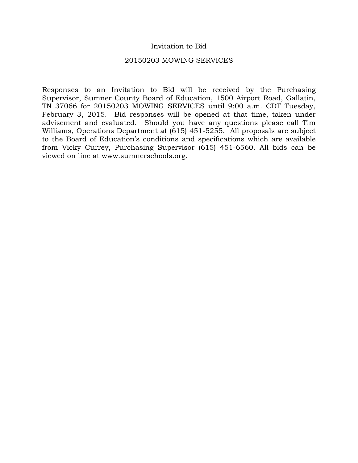#### Invitation to Bid

#### 20150203 MOWING SERVICES

Responses to an Invitation to Bid will be received by the Purchasing Supervisor, Sumner County Board of Education, 1500 Airport Road, Gallatin, TN 37066 for 20150203 MOWING SERVICES until 9:00 a.m. CDT Tuesday, February 3, 2015. Bid responses will be opened at that time, taken under advisement and evaluated. Should you have any questions please call Tim Williams, Operations Department at (615) 451-5255. All proposals are subject to the Board of Education's conditions and specifications which are available from Vicky Currey, Purchasing Supervisor (615) 451-6560. All bids can be viewed on line at www.sumnerschools.org.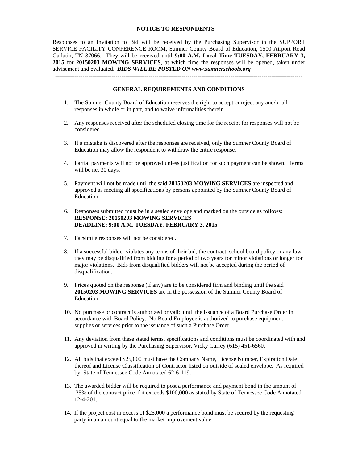#### **NOTICE TO RESPONDENTS**

Responses to an Invitation to Bid will be received by the Purchasing Supervisor in the SUPPORT SERVICE FACILITY CONFERENCE ROOM, Sumner County Board of Education, 1500 Airport Road Gallatin, TN 37066. They will be received until **9:00 A.M. Local Time TUESDAY, FEBRUARY 3, 2015** for **20150203 MOWING SERVICES**, at which time the responses will be opened, taken under advisement and evaluated. *BIDS WILL BE POSTED ON www.sumnerschools.org* 

#### **GENERAL REQUIREMENTS AND CONDITIONS**

-------------------------------------------------------------------------------------------------------------------------------

- 1. The Sumner County Board of Education reserves the right to accept or reject any and/or all responses in whole or in part, and to waive informalities therein.
- 2. Any responses received after the scheduled closing time for the receipt for responses will not be considered.
- 3. If a mistake is discovered after the responses are received, only the Sumner County Board of Education may allow the respondent to withdraw the entire response.
- 4. Partial payments will not be approved unless justification for such payment can be shown. Terms will be net 30 days.
- 5. Payment will not be made until the said **20150203 MOWING SERVICES** are inspected and approved as meeting all specifications by persons appointed by the Sumner County Board of Education.
- 6. Responses submitted must be in a sealed envelope and marked on the outside as follows: **RESPONSE: 20150203 MOWING SERVICES DEADLINE: 9:00 A.M. TUESDAY, FEBRUARY 3, 2015**
- 7. Facsimile responses will not be considered.
- 8. If a successful bidder violates any terms of their bid, the contract, school board policy or any law they may be disqualified from bidding for a period of two years for minor violations or longer for major violations. Bids from disqualified bidders will not be accepted during the period of disqualification.
- 9. Prices quoted on the response (if any) are to be considered firm and binding until the said **20150203 MOWING SERVICES** are in the possession of the Sumner County Board of Education.
- 10. No purchase or contract is authorized or valid until the issuance of a Board Purchase Order in accordance with Board Policy. No Board Employee is authorized to purchase equipment, supplies or services prior to the issuance of such a Purchase Order.
- 11. Any deviation from these stated terms, specifications and conditions must be coordinated with and approved in writing by the Purchasing Supervisor, Vicky Currey (615) 451-6560.
- 12. All bids that exceed \$25,000 must have the Company Name, License Number, Expiration Date thereof and License Classification of Contractor listed on outside of sealed envelope. As required by State of Tennessee Code Annotated 62-6-119.
- 13. The awarded bidder will be required to post a performance and payment bond in the amount of 25% of the contract price if it exceeds \$100,000 as stated by State of Tennessee Code Annotated 12-4-201.
- 14. If the project cost in excess of \$25,000 a performance bond must be secured by the requesting party in an amount equal to the market improvement value.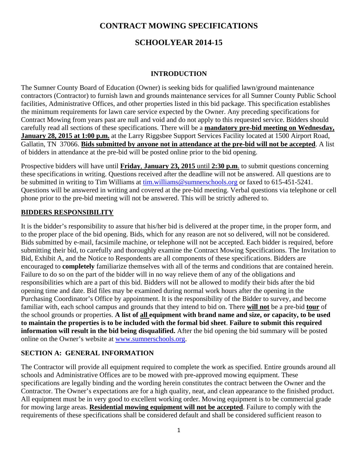## **CONTRACT MOWING SPECIFICATIONS**

## **SCHOOLYEAR 2014-15**

#### **INTRODUCTION**

The Sumner County Board of Education (Owner) is seeking bids for qualified lawn/ground maintenance contractors (Contractor) to furnish lawn and grounds maintenance services for all Sumner County Public School facilities, Administrative Offices, and other properties listed in this bid package. This specification establishes the minimum requirements for lawn care service expected by the Owner. Any preceding specifications for Contract Mowing from years past are null and void and do not apply to this requested service. Bidders should carefully read all sections of these specifications. There will be a **mandatory pre-bid meeting on Wednesday, January 28, 2015 at 1:00 p.m.** at the Larry Riggsbee Support Services Facility located at 1500 Airport Road, Gallatin, TN 37066. **Bids submitted by anyone not in attendance at the pre-bid will not be accepted**. A list of bidders in attendance at the pre-bid will be posted online prior to the bid opening.

Prospective bidders will have until **Friday**, **January 23, 2015** until **2:30 p.m**. to submit questions concerning these specifications in writing. Questions received after the deadline will not be answered. All questions are to be submitted in writing to Tim Williams at tim.williams@sumnerschools.org or faxed to 615-451-5241. Questions will be answered in writing and covered at the pre-bid meeting. Verbal questions via telephone or cell phone prior to the pre-bid meeting will not be answered. This will be strictly adhered to.

#### **BIDDERS RESPONSIBILITY**

It is the bidder's responsibility to assure that his/her bid is delivered at the proper time, in the proper form, and to the proper place of the bid opening. Bids, which for any reason are not so delivered, will not be considered. Bids submitted by e-mail, facsimile machine, or telephone will not be accepted. Each bidder is required, before submitting their bid, to carefully and thoroughly examine the Contract Mowing Specifications. The Invitation to Bid, Exhibit A, and the Notice to Respondents are all components of these specifications. Bidders are encouraged to **completely** familiarize themselves with all of the terms and conditions that are contained herein. Failure to do so on the part of the bidder will in no way relieve them of any of the obligations and responsibilities which are a part of this bid. Bidders will not be allowed to modify their bids after the bid opening time and date. Bid files may be examined during normal work hours after the opening in the Purchasing Coordinator's Office by appointment. It is the responsibility of the Bidder to survey, and become familiar with, each school campus and grounds that they intend to bid on. There **will not** be a pre-bid **tour** of the school grounds or properties. **A list of all equipment with brand name and size, or capacity, to be used to maintain the properties is to be included with the formal bid sheet**. **Failure to submit this required information will result in the bid being disqualified.** After the bid opening the bid summary will be posted online on the Owner's website at www.sumnerschools.org.

#### **SECTION A: GENERAL INFORMATION**

The Contractor will provide all equipment required to complete the work as specified. Entire grounds around all schools and Administrative Offices are to be mowed with pre-approved mowing equipment. These specifications are legally binding and the wording herein constitutes the contract between the Owner and the Contractor. The Owner's expectations are for a high quality, neat, and clean appearance to the finished product. All equipment must be in very good to excellent working order. Mowing equipment is to be commercial grade for mowing large areas. **Residential mowing equipment will not be accepted**. Failure to comply with the requirements of these specifications shall be considered default and shall be considered sufficient reason to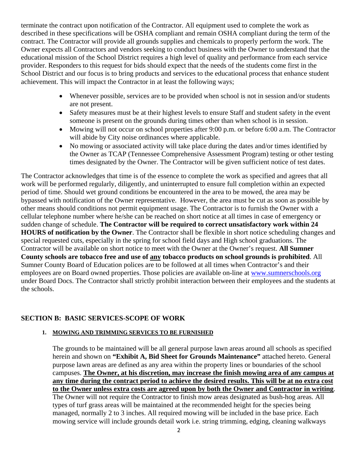terminate the contract upon notification of the Contractor. All equipment used to complete the work as described in these specifications will be OSHA compliant and remain OSHA compliant during the term of the contract. The Contractor will provide all grounds supplies and chemicals to properly perform the work. The Owner expects all Contractors and vendors seeking to conduct business with the Owner to understand that the educational mission of the School District requires a high level of quality and performance from each service provider. Responders to this request for bids should expect that the needs of the students come first in the School District and our focus is to bring products and services to the educational process that enhance student achievement. This will impact the Contractor in at least the following ways;

- Whenever possible, services are to be provided when school is not in session and/or students are not present.
- Safety measures must be at their highest levels to ensure Staff and student safety in the event someone is present on the grounds during times other than when school is in session.
- Mowing will not occur on school properties after 9:00 p.m. or before 6:00 a.m. The Contractor will abide by City noise ordinances where applicable.
- No mowing or associated activity will take place during the dates and/or times identified by the Owner as TCAP (Tennessee Comprehensive Assessment Program) testing or other testing times designated by the Owner. The Contractor will be given sufficient notice of test dates.

The Contractor acknowledges that time is of the essence to complete the work as specified and agrees that all work will be performed regularly, diligently, and uninterrupted to ensure full completion within an expected period of time. Should wet ground conditions be encountered in the area to be mowed, the area may be bypassed with notification of the Owner representative. However, the area must be cut as soon as possible by other means should conditions not permit equipment usage. The Contractor is to furnish the Owner with a cellular telephone number where he/she can be reached on short notice at all times in case of emergency or sudden change of schedule. **The Contractor will be required to correct unsatisfactory work within 24 HOURS of notification by the Owner**. The Contractor shall be flexible in short notice scheduling changes and special requested cuts, especially in the spring for school field days and High school graduations. The Contractor will be available on short notice to meet with the Owner at the Owner's request. **All Sumner County schools are tobacco free and use of any tobacco products on school grounds is prohibited**. All Sumner County Board of Education polices are to be followed at all times when Contractor's and their employees are on Board owned properties. Those policies are available on-line at www.sumnerschools.org under Board Docs. The Contractor shall strictly prohibit interaction between their employees and the students at the schools.

#### **SECTION B: BASIC SERVICES-SCOPE OF WORK**

#### **1. MOWING AND TRIMMING SERVICES TO BE FURNISHED**

The grounds to be maintained will be all general purpose lawn areas around all schools as specified herein and shown on **"Exhibit A, Bid Sheet for Grounds Maintenance"** attached hereto. General purpose lawn areas are defined as any area within the property lines or boundaries of the school campuses. **The Owner, at his discretion, may increase the finish mowing area of any campus at any time during the contract period to achieve the desired results. This will be at no extra cost to the Owner unless extra costs are agreed upon by both the Owner and Contractor in writing**. The Owner will not require the Contractor to finish mow areas designated as bush-hog areas. All types of turf grass areas will be maintained at the recommended height for the species being managed, normally 2 to 3 inches. All required mowing will be included in the base price. Each mowing service will include grounds detail work i.e. string trimming, edging, cleaning walkways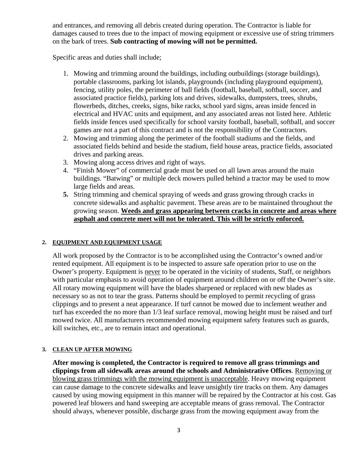and entrances, and removing all debris created during operation. The Contractor is liable for damages caused to trees due to the impact of mowing equipment or excessive use of string trimmers on the bark of trees. **Sub contracting of mowing will not be permitted.** 

Specific areas and duties shall include;

- 1. Mowing and trimming around the buildings, including outbuildings (storage buildings), portable classrooms, parking lot islands, playgrounds (including playground equipment), fencing, utility poles, the perimeter of ball fields (football, baseball, softball, soccer, and associated practice fields), parking lots and drives, sidewalks, dumpsters, trees, shrubs, flowerbeds, ditches, creeks, signs, bike racks, school yard signs, areas inside fenced in electrical and HVAC units and equipment, and any associated areas not listed here. Athletic fields inside fences used specifically for school varsity football, baseball, softball, and soccer games are not a part of this contract and is not the responsibility of the Contractors.
- 2. Mowing and trimming along the perimeter of the football stadiums and the fields, and associated fields behind and beside the stadium, field house areas, practice fields, associated drives and parking areas.
- 3. Mowing along access drives and right of ways.
- 4. "Finish Mower" of commercial grade must be used on all lawn areas around the main buildings. "Batwing" or multiple deck mowers pulled behind a tractor may be used to mow large fields and areas.
- **5.** String trimming and chemical spraying of weeds and grass growing through cracks in concrete sidewalks and asphaltic pavement. These areas are to be maintained throughout the growing season. **Weeds and grass appearing between cracks in concrete and areas where asphalt and concrete meet will not be tolerated. This will be strictly enforced.**

#### **2. EQUIPMENT AND EQUIPMENT USAGE**

All work proposed by the Contractor is to be accomplished using the Contractor's owned and/or rented equipment. All equipment is to be inspected to assure safe operation prior to use on the Owner's property. Equipment is never to be operated in the vicinity of students, Staff, or neighbors with particular emphasis to avoid operation of equipment around children on or off the Owner's site. All rotary mowing equipment will have the blades sharpened or replaced with new blades as necessary so as not to tear the grass. Patterns should be employed to permit recycling of grass clippings and to present a neat appearance. If turf cannot be mowed due to inclement weather and turf has exceeded the no more than 1/3 leaf surface removal, mowing height must be raised and turf mowed twice. All manufacturers recommended mowing equipment safety features such as guards, kill switches, etc., are to remain intact and operational.

#### **3. CLEAN UP AFTER MOWING**

**After mowing is completed, the Contractor is required to remove all grass trimmings and clippings from all sidewalk areas around the schools and Administrative Offices**. Removing or blowing grass trimmings with the mowing equipment is unacceptable. Heavy mowing equipment can cause damage to the concrete sidewalks and leave unsightly tire tracks on them. Any damages caused by using mowing equipment in this manner will be repaired by the Contractor at his cost. Gas powered leaf blowers and hand sweeping are acceptable means of grass removal. The Contractor should always, whenever possible, discharge grass from the mowing equipment away from the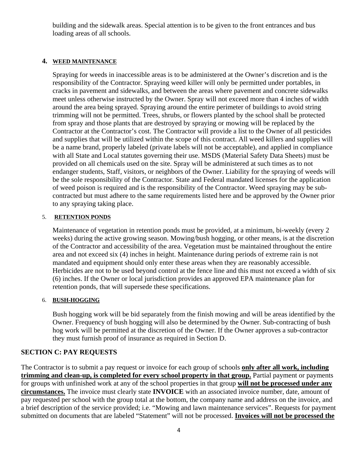building and the sidewalk areas. Special attention is to be given to the front entrances and bus loading areas of all schools.

#### **4. WEED MAINTENANCE**

Spraying for weeds in inaccessible areas is to be administered at the Owner's discretion and is the responsibility of the Contractor. Spraying weed killer will only be permitted under portables, in cracks in pavement and sidewalks, and between the areas where pavement and concrete sidewalks meet unless otherwise instructed by the Owner. Spray will not exceed more than 4 inches of width around the area being sprayed. Spraying around the entire perimeter of buildings to avoid string trimming will not be permitted. Trees, shrubs, or flowers planted by the school shall be protected from spray and those plants that are destroyed by spraying or mowing will be replaced by the Contractor at the Contractor's cost. The Contractor will provide a list to the Owner of all pesticides and supplies that will be utilized within the scope of this contract. All weed killers and supplies will be a name brand, properly labeled (private labels will not be acceptable), and applied in compliance with all State and Local statutes governing their use. MSDS (Material Safety Data Sheets) must be provided on all chemicals used on the site. Spray will be administered at such times as to not endanger students, Staff, visitors, or neighbors of the Owner. Liability for the spraying of weeds will be the sole responsibility of the Contractor. State and Federal mandated licenses for the application of weed poison is required and is the responsibility of the Contractor. Weed spraying may be subcontracted but must adhere to the same requirements listed here and be approved by the Owner prior to any spraying taking place.

#### 5. **RETENTION PONDS**

Maintenance of vegetation in retention ponds must be provided, at a minimum, bi-weekly (every 2 weeks) during the active growing season. Mowing/bush hogging, or other means, is at the discretion of the Contractor and accessibility of the area. Vegetation must be maintained throughout the entire area and not exceed six (4) inches in height. Maintenance during periods of extreme rain is not mandated and equipment should only enter these areas when they are reasonably accessible. Herbicides are not to be used beyond control at the fence line and this must not exceed a width of six (6) inches. If the Owner or local jurisdiction provides an approved EPA maintenance plan for retention ponds, that will supersede these specifications.

#### 6. **BUSH-HOGGING**

Bush hogging work will be bid separately from the finish mowing and will be areas identified by the Owner. Frequency of bush hogging will also be determined by the Owner. Sub-contracting of bush hog work will be permitted at the discretion of the Owner. If the Owner approves a sub-contractor they must furnish proof of insurance as required in Section D.

#### **SECTION C: PAY REQUESTS**

The Contractor is to submit a pay request or invoice for each group of schools **only after all work, including trimming and clean-up, is completed for every school property in that group.** Partial payment or payments for groups with unfinished work at any of the school properties in that group **will not be processed under any circumstances.** The invoice must clearly state **INVOICE** with an associated invoice number, date, amount of pay requested per school with the group total at the bottom, the company name and address on the invoice, and a brief description of the service provided; i.e. "Mowing and lawn maintenance services". Requests for payment submitted on documents that are labeled "Statement" will not be processed. **Invoices will not be processed the**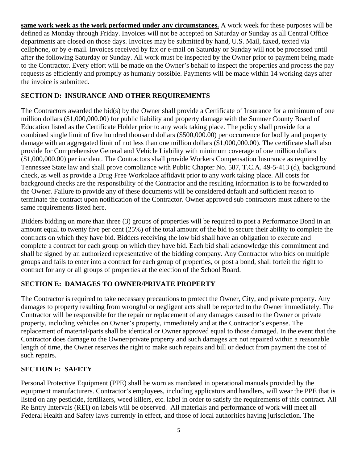**same work week as the work performed under any circumstances.** A work week for these purposes will be defined as Monday through Friday. Invoices will not be accepted on Saturday or Sunday as all Central Office departments are closed on those days. Invoices may be submitted by hand, U.S. Mail, faxed, texted via cellphone, or by e-mail. Invoices received by fax or e-mail on Saturday or Sunday will not be processed until after the following Saturday or Sunday. All work must be inspected by the Owner prior to payment being made to the Contractor. Every effort will be made on the Owner's behalf to inspect the properties and process the pay requests as efficiently and promptly as humanly possible. Payments will be made within 14 working days after the invoice is submitted.

#### **SECTION D: INSURANCE AND OTHER REQUIREMENTS**

The Contractors awarded the bid(s) by the Owner shall provide a Certificate of Insurance for a minimum of one million dollars (\$1,000,000.00) for public liability and property damage with the Sumner County Board of Education listed as the Certificate Holder prior to any work taking place. The policy shall provide for a combined single limit of five hundred thousand dollars (\$500,000.00) per occurrence for bodily and property damage with an aggregated limit of not less than one million dollars (\$1,000,000.00). The certificate shall also provide for Comprehensive General and Vehicle Liability with minimum coverage of one million dollars (\$1,000,000.00) per incident. The Contractors shall provide Workers Compensation Insurance as required by Tennessee State law and shall prove compliance with Public Chapter No. 587, T.C.A. 49-5-413 (d), background check, as well as provide a Drug Free Workplace affidavit prior to any work taking place. All costs for background checks are the responsibility of the Contractor and the resulting information is to be forwarded to the Owner. Failure to provide any of these documents will be considered default and sufficient reason to terminate the contract upon notification of the Contractor. Owner approved sub contractors must adhere to the same requirements listed here.

Bidders bidding on more than three (3) groups of properties will be required to post a Performance Bond in an amount equal to twenty five per cent (25%) of the total amount of the bid to secure their ability to complete the contracts on which they have bid. Bidders receiving the low bid shall have an obligation to execute and complete a contract for each group on which they have bid. Each bid shall acknowledge this commitment and shall be signed by an authorized representative of the bidding company. Any Contractor who bids on multiple groups and fails to enter into a contract for each group of properties, or post a bond, shall forfeit the right to contract for any or all groups of properties at the election of the School Board.

## **SECTION E: DAMAGES TO OWNER/PRIVATE PROPERTY**

The Contractor is required to take necessary precautions to protect the Owner, City, and private property. Any damages to property resulting from wrongful or negligent acts shall be reported to the Owner immediately. The Contractor will be responsible for the repair or replacement of any damages caused to the Owner or private property, including vehicles on Owner's property, immediately and at the Contractor's expense. The replacement of material/parts shall be identical or Owner approved equal to those damaged. In the event that the Contractor does damage to the Owner/private property and such damages are not repaired within a reasonable length of time, the Owner reserves the right to make such repairs and bill or deduct from payment the cost of such repairs.

## **SECTION F: SAFETY**

Personal Protective Equipment (PPE) shall be worn as mandated in operational manuals provided by the equipment manufacturers. Contractor's employees, including applicators and handlers, will wear the PPE that is listed on any pesticide, fertilizers, weed killers, etc. label in order to satisfy the requirements of this contract. All Re Entry Intervals (REI) on labels will be observed. All materials and performance of work will meet all Federal Health and Safety laws currently in effect, and those of local authorities having jurisdiction. The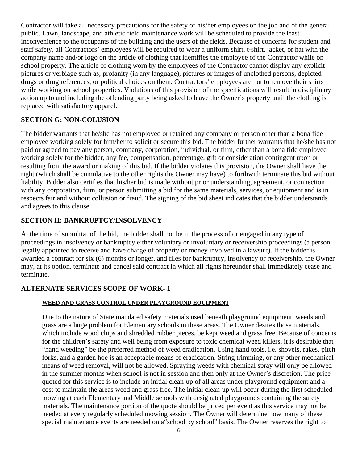Contractor will take all necessary precautions for the safety of his/her employees on the job and of the general public. Lawn, landscape, and athletic field maintenance work will be scheduled to provide the least inconvenience to the occupants of the building and the users of the fields. Because of concerns for student and staff safety, all Contractors' employees will be required to wear a uniform shirt, t-shirt, jacket, or hat with the company name and/or logo on the article of clothing that identifies the employee of the Contractor while on school property. The article of clothing worn by the employees of the Contractor cannot display any explicit pictures or verbiage such as; profanity (in any language), pictures or images of unclothed persons, depicted drugs or drug references, or political choices on them. Contractors' employees are not to remove their shirts while working on school properties. Violations of this provision of the specifications will result in disciplinary action up to and including the offending party being asked to leave the Owner's property until the clothing is replaced with satisfactory apparel.

#### **SECTION G: NON-COLUSION**

The bidder warrants that he/she has not employed or retained any company or person other than a bona fide employee working solely for him/her to solicit or secure this bid. The bidder further warrants that he/she has not paid or agreed to pay any person, company, corporation, individual, or firm, other than a bona fide employee working solely for the bidder, any fee, compensation, percentage, gift or consideration contingent upon or resulting from the award or making of this bid. If the bidder violates this provision, the Owner shall have the right (which shall be cumulative to the other rights the Owner may have) to forthwith terminate this bid without liability. Bidder also certifies that his/her bid is made without prior understanding, agreement, or connection with any corporation, firm, or person submitting a bid for the same materials, services, or equipment and is in respects fair and without collusion or fraud. The signing of the bid sheet indicates that the bidder understands and agrees to this clause.

#### **SECTION H: BANKRUPTCY/INSOLVENCY**

At the time of submittal of the bid, the bidder shall not be in the process of or engaged in any type of proceedings in insolvency or bankruptcy either voluntary or involuntary or receivership proceedings (a person legally appointed to receive and have charge of property or money involved in a lawsuit). If the bidder is awarded a contract for six (6) months or longer, and files for bankruptcy, insolvency or receivership, the Owner may, at its option, terminate and cancel said contract in which all rights hereunder shall immediately cease and terminate.

#### **ALTERNATE SERVICES SCOPE OF WORK- 1**

#### **WEED AND GRASS CONTROL UNDER PLAYGROUND EQUIPMENT**

Due to the nature of State mandated safety materials used beneath playground equipment, weeds and grass are a huge problem for Elementary schools in these areas. The Owner desires those materials, which include wood chips and shredded rubber pieces, be kept weed and grass free. Because of concerns for the children's safety and well being from exposure to toxic chemical weed killers, it is desirable that "hand weeding" be the preferred method of weed eradication. Using hand tools, i.e. shovels, rakes, pitch forks, and a garden hoe is an acceptable means of eradication. String trimming, or any other mechanical means of weed removal, will not be allowed. Spraying weeds with chemical spray will only be allowed in the summer months when school is not in session and then only at the Owner's discretion. The price quoted for this service is to include an initial clean-up of all areas under playground equipment and a cost to maintain the areas weed and grass free. The initial clean-up will occur during the first scheduled mowing at each Elementary and Middle schools with designated playgrounds containing the safety materials. The maintenance portion of the quote should be priced per event as this service may not be needed at every regularly scheduled mowing session. The Owner will determine how many of these special maintenance events are needed on a"school by school" basis. The Owner reserves the right to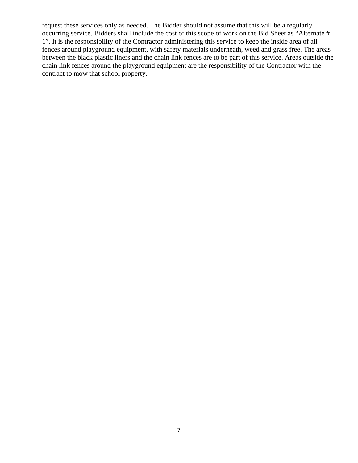request these services only as needed. The Bidder should not assume that this will be a regularly occurring service. Bidders shall include the cost of this scope of work on the Bid Sheet as "Alternate # 1". It is the responsibility of the Contractor administering this service to keep the inside area of all fences around playground equipment, with safety materials underneath, weed and grass free. The areas between the black plastic liners and the chain link fences are to be part of this service. Areas outside the chain link fences around the playground equipment are the responsibility of the Contractor with the contract to mow that school property.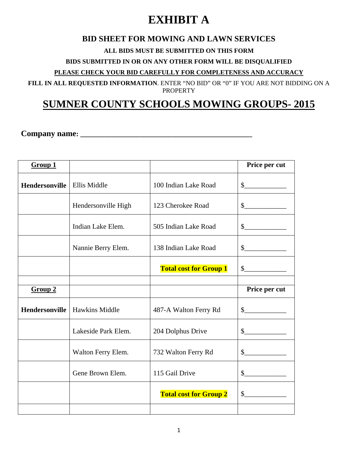# **EXHIBIT A**

## **BID SHEET FOR MOWING AND LAWN SERVICES**

#### **ALL BIDS MUST BE SUBMITTED ON THIS FORM**

**BIDS SUBMITTED IN OR ON ANY OTHER FORM WILL BE DISQUALIFIED** 

**PLEASE CHECK YOUR BID CAREFULLY FOR COMPLETENESS AND ACCURACY**

**FILL IN ALL REQUESTED INFORMATION**. ENTER "NO BID" OR "0" IF YOU ARE NOT BIDDING ON A PROPERTY

## **SUMNER COUNTY SCHOOLS MOWING GROUPS- 2015**

**Company name: \_\_\_\_\_\_\_\_\_\_\_\_\_\_\_\_\_\_\_\_\_\_\_\_\_\_\_\_\_\_\_\_\_\_\_\_\_\_\_\_\_\_\_\_\_\_\_\_\_** 

| Group 1               |                       |                               | Price per cut                                                                                                                                                                                                                                                                                                                                                                |
|-----------------------|-----------------------|-------------------------------|------------------------------------------------------------------------------------------------------------------------------------------------------------------------------------------------------------------------------------------------------------------------------------------------------------------------------------------------------------------------------|
| <b>Hendersonville</b> | Ellis Middle          | 100 Indian Lake Road          | $\frac{\S_{\frac{1}{2}}}{\S_{\frac{1}{2}}}{\S_{\frac{1}{2}}}{\S_{\frac{1}{2}}}{\S_{\frac{1}{2}}}{\S_{\frac{1}{2}}}{\S_{\frac{1}{2}}}{\S_{\frac{1}{2}}}{\S_{\frac{1}{2}}}{\S_{\frac{1}{2}}}{\S_{\frac{1}{2}}}{\S_{\frac{1}{2}}}{\S_{\frac{1}{2}}}{\S_{\frac{1}{2}}}{\S_{\frac{1}{2}}}{\S_{\frac{1}{2}}}{\S_{\frac{1}{2}}}{\S_{\frac{1}{2}}}{\S_{\frac{1}{2}}}{\S_{\frac{1}{2$ |
|                       | Hendersonville High   | 123 Cherokee Road             | s                                                                                                                                                                                                                                                                                                                                                                            |
|                       | Indian Lake Elem.     | 505 Indian Lake Road          | $\frac{1}{2}$                                                                                                                                                                                                                                                                                                                                                                |
|                       | Nannie Berry Elem.    | 138 Indian Lake Road          | $\frac{\text{S}}{\text{S}}$                                                                                                                                                                                                                                                                                                                                                  |
|                       |                       | <b>Total cost for Group 1</b> | $\sim$                                                                                                                                                                                                                                                                                                                                                                       |
| Group 2               |                       |                               | Price per cut                                                                                                                                                                                                                                                                                                                                                                |
| <b>Hendersonville</b> | <b>Hawkins Middle</b> | 487-A Walton Ferry Rd         | $\mathcal{S}$                                                                                                                                                                                                                                                                                                                                                                |
|                       | Lakeside Park Elem.   | 204 Dolphus Drive             | $\sim$                                                                                                                                                                                                                                                                                                                                                                       |
|                       | Walton Ferry Elem.    | 732 Walton Ferry Rd           | $\sim$                                                                                                                                                                                                                                                                                                                                                                       |
|                       | Gene Brown Elem.      | 115 Gail Drive                | $\frac{\text{S}}{\text{S}}$                                                                                                                                                                                                                                                                                                                                                  |
|                       |                       | <b>Total cost for Group 2</b> | $\mathbb{S}$                                                                                                                                                                                                                                                                                                                                                                 |
|                       |                       |                               |                                                                                                                                                                                                                                                                                                                                                                              |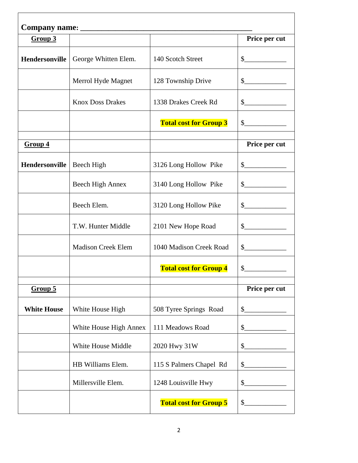| Group 3            |                           |                               | Price per cut               |
|--------------------|---------------------------|-------------------------------|-----------------------------|
| Hendersonville     | George Whitten Elem.      | 140 Scotch Street             | $\frac{1}{2}$               |
|                    | Merrol Hyde Magnet        | 128 Township Drive            | $\frac{1}{2}$               |
|                    | <b>Knox Doss Drakes</b>   | 1338 Drakes Creek Rd          | $\frac{1}{2}$               |
|                    |                           | <b>Total cost for Group 3</b> | $\frac{\text{S}}{\text{S}}$ |
| Group 4            |                           |                               | Price per cut               |
| Hendersonville     | Beech High                | 3126 Long Hollow Pike         | $\sim$                      |
|                    | Beech High Annex          | 3140 Long Hollow Pike         | $\frac{1}{2}$               |
|                    | Beech Elem.               | 3120 Long Hollow Pike         | $\sim$                      |
|                    | T.W. Hunter Middle        | 2101 New Hope Road            | $\sim$                      |
|                    | <b>Madison Creek Elem</b> | 1040 Madison Creek Road       | $\sim$ $\sim$               |
|                    |                           | <b>Total cost for Group 4</b> | $\mathbb{S}^-$              |
| Group 5            |                           |                               | Price per cut               |
| <b>White House</b> | White House High          | 508 Tyree Springs Road        | $\mathsf{S}_-$              |
|                    | White House High Annex    | 111 Meadows Road              | \$                          |
|                    | White House Middle        | 2020 Hwy 31W                  | \$                          |
|                    | HB Williams Elem.         | 115 S Palmers Chapel Rd       | \$                          |
|                    | Millersville Elem.        | 1248 Louisville Hwy           | \$                          |
|                    |                           | <b>Total cost for Group 5</b> | \$                          |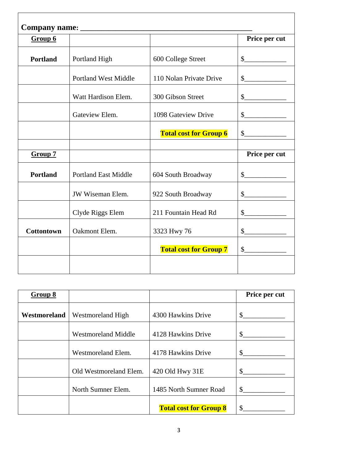| Group 6           |                             |                               | Price per cut                   |
|-------------------|-----------------------------|-------------------------------|---------------------------------|
| <b>Portland</b>   | Portland High               | 600 College Street            | $\frac{1}{2}$                   |
|                   | <b>Portland West Middle</b> | 110 Nolan Private Drive       | $\frac{1}{2}$                   |
|                   | Watt Hardison Elem.         | 300 Gibson Street             | $\frac{1}{2}$                   |
|                   | Gateview Elem.              | 1098 Gateview Drive           | $\frac{1}{2}$                   |
|                   |                             | <b>Total cost for Group 6</b> | $\frac{\S_{\perp}}{\S_{\perp}}$ |
|                   |                             |                               |                                 |
| Group 7           |                             |                               | Price per cut                   |
| <b>Portland</b>   | <b>Portland East Middle</b> | 604 South Broadway            | $\sim$                          |
|                   | <b>JW</b> Wiseman Elem.     | 922 South Broadway            | $\frac{\text{S}}{\text{S}}$     |
|                   | Clyde Riggs Elem            | 211 Fountain Head Rd          | $\frac{1}{2}$                   |
| <b>Cottontown</b> | Oakmont Elem.               | 3323 Hwy 76                   | $\frac{\text{S}}{\text{S}}$     |
|                   |                             |                               |                                 |
|                   |                             | <b>Total cost for Group 7</b> | $\frac{1}{2}$                   |

| Group 8      |                            |                               | Price per cut |
|--------------|----------------------------|-------------------------------|---------------|
| Westmoreland | Westmoreland High          | 4300 Hawkins Drive            | \$            |
|              | <b>Westmoreland Middle</b> | 4128 Hawkins Drive            | \$            |
|              | Westmoreland Elem.         | 4178 Hawkins Drive            | \$            |
|              | Old Westmoreland Elem.     | 420 Old Hwy 31E               | \$            |
|              | North Sumner Elem.         | 1485 North Sumner Road        | \$            |
|              |                            | <b>Total cost for Group 8</b> | \$            |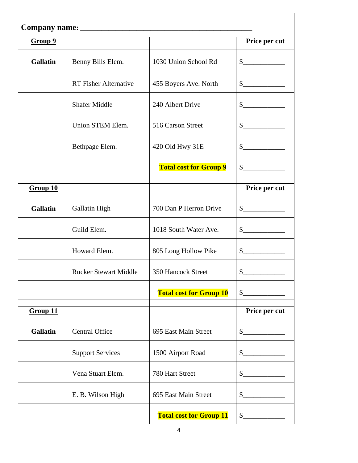| Group 9         |                              |                                | Price per cut               |
|-----------------|------------------------------|--------------------------------|-----------------------------|
| <b>Gallatin</b> | Benny Bills Elem.            | 1030 Union School Rd           | $\frac{1}{2}$               |
|                 | <b>RT</b> Fisher Alternative | 455 Boyers Ave. North          | $\frac{\text{S}}{\text{S}}$ |
|                 | <b>Shafer Middle</b>         | 240 Albert Drive               | $\frac{\text{S}}{\text{S}}$ |
|                 | Union STEM Elem.             | 516 Carson Street              | $\frac{\text{S}}{\text{S}}$ |
|                 | Bethpage Elem.               | 420 Old Hwy 31E                | s                           |
|                 |                              | <b>Total cost for Group 9</b>  | s                           |
| Group 10        |                              |                                | Price per cut               |
| <b>Gallatin</b> | Gallatin High                | 700 Dan P Herron Drive         | s                           |
|                 | Guild Elem.                  | 1018 South Water Ave.          | $\frac{1}{2}$               |
|                 | Howard Elem.                 | 805 Long Hollow Pike           | $\frac{\text{S}}{\text{S}}$ |
|                 | <b>Rucker Stewart Middle</b> | 350 Hancock Street             | \$                          |
|                 |                              | <b>Total cost for Group 10</b> | $\mathbb{S}^-$              |
| Group 11        |                              |                                | Price per cut               |
| <b>Gallatin</b> | <b>Central Office</b>        | 695 East Main Street           | $\sim$                      |
|                 | <b>Support Services</b>      | 1500 Airport Road              | $\sim$                      |
|                 | Vena Stuart Elem.            | 780 Hart Street                | $\sim$                      |
|                 | E. B. Wilson High            | 695 East Main Street           | $\mathcal{S}$               |
|                 |                              | <b>Total cost for Group 11</b> | \$                          |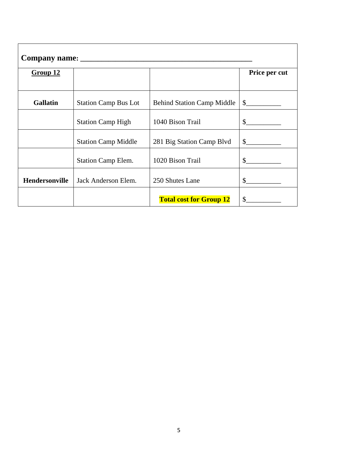| Group 12        |                             |                                   | Price per cut |
|-----------------|-----------------------------|-----------------------------------|---------------|
|                 |                             |                                   |               |
| <b>Gallatin</b> | <b>Station Camp Bus Lot</b> | <b>Behind Station Camp Middle</b> | $\frac{1}{2}$ |
|                 | <b>Station Camp High</b>    | 1040 Bison Trail                  | $\mathcal{S}$ |
|                 | <b>Station Camp Middle</b>  | 281 Big Station Camp Blvd         | $\frac{1}{2}$ |
|                 | Station Camp Elem.          | 1020 Bison Trail                  | \$            |
| Hendersonville  | Jack Anderson Elem.         | 250 Shutes Lane                   | $\mathbb{S}$  |
|                 |                             | <b>Total cost for Group 12</b>    | \$            |